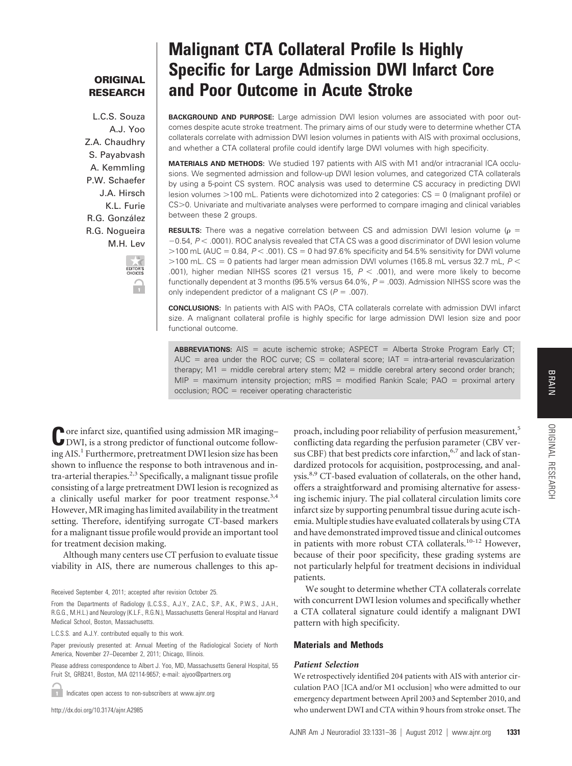## **ORIGINAL RESEARCH**

L.C.S. Souza A.J. Yoo Z.A. Chaudhry S. Payabvash A. Kemmling P.W. Schaefer J.A. Hirsch K.L. Furie R.G. González R.G. Nogueira M.H. Lev



# **Malignant CTA Collateral Profile Is Highly Specific for Large Admission DWI Infarct Core and Poor Outcome in Acute Stroke**

**BACKGROUND AND PURPOSE:** Large admission DWI lesion volumes are associated with poor outcomes despite acute stroke treatment. The primary aims of our study were to determine whether CTA collaterals correlate with admission DWI lesion volumes in patients with AIS with proximal occlusions, and whether a CTA collateral profile could identify large DWI volumes with high specificity.

**MATERIALS AND METHODS:** We studied 197 patients with AIS with M1 and/or intracranial ICA occlusions. We segmented admission and follow-up DWI lesion volumes, and categorized CTA collaterals by using a 5-point CS system. ROC analysis was used to determine CS accuracy in predicting DWI lesion volumes  $>$  100 mL. Patients were dichotomized into 2 categories:  $CS = 0$  (malignant profile) or CS>0. Univariate and multivariate analyses were performed to compare imaging and clinical variables between these 2 groups.

**RESULTS:** There was a negative correlation between CS and admission DWI lesion volume ( $\rho$  = -0.54,  $P$  < .0001). ROC analysis revealed that CTA CS was a good discriminator of DWI lesion volume 100 mL (AUC - 0.84, *P* .001). CS - 0 had 97.6% specificity and 54.5% sensitivity for DWI volume  $>$ 100 mL. CS = 0 patients had larger mean admission DWI volumes (165.8 mL versus 32.7 mL,  $P$   $<$ .001), higher median NIHSS scores (21 versus 15,  $P < .001$ ), and were more likely to become functionally dependent at 3 months (95.5% versus 64.0%, P = .003). Admission NIHSS score was the only independent predictor of a malignant CS ( $P = .007$ ).

**CONCLUSIONS:** In patients with AIS with PAOs, CTA collaterals correlate with admission DWI infarct size. A malignant collateral profile is highly specific for large admission DWI lesion size and poor functional outcome.

**ABBREVIATIONS:** AIS = acute ischemic stroke; ASPECT = Alberta Stroke Program Early CT; AUC = area under the ROC curve; CS = collateral score; IAT = intra-arterial revascularization therapy; M1 = middle cerebral artery stem; M2 = middle cerebral artery second order branch; MIP = maximum intensity projection; mRS = modified Rankin Scale; PAO = proximal artery occlusion; ROC = receiver operating characteristic

Core infarct size, quantified using admission MR imaging–<br>DWI, is a strong predictor of functional outcome following AIS.<sup>1</sup> Furthermore, pretreatment DWI lesion size has been shown to influence the response to both intravenous and in $tra$ -arterial therapies.<sup>2,3</sup> Specifically, a malignant tissue profile consisting of a large pretreatment DWI lesion is recognized as a clinically useful marker for poor treatment response.<sup>3,4</sup> However, MR imaging has limited availability in the treatment setting. Therefore, identifying surrogate CT-based markers for a malignant tissue profile would provide an important tool for treatment decision making.

Although many centers use CT perfusion to evaluate tissue viability in AIS, there are numerous challenges to this ap-

L.C.S.S. and A.J.Y. contributed equally to this work.

Paper previously presented at: Annual Meeting of the Radiological Society of North America, November 27–December 2, 2011; Chicago, Illinois.

Please address correspondence to Albert J. Yoo, MD, Massachusetts General Hospital, 55 Fruit St, GRB241, Boston, MA 02114-9657; e-mail: ajyoo@partners.org

Indicates open access to non-subscribers at www.ajnr.org

http://dx.doi.org/10.3174/ajnr.A2985

proach, including poor reliability of perfusion measurement,<sup>5</sup> conflicting data regarding the perfusion parameter (CBV versus CBF) that best predicts core infarction,<sup>6,7</sup> and lack of standardized protocols for acquisition, postprocessing, and analysis.<sup>8,9</sup> CT-based evaluation of collaterals, on the other hand, offers a straightforward and promising alternative for assessing ischemic injury. The pial collateral circulation limits core infarct size by supporting penumbral tissue during acute ischemia. Multiple studies have evaluated collaterals by using CTA and have demonstrated improved tissue and clinical outcomes in patients with more robust CTA collaterals.<sup>10-12</sup> However, because of their poor specificity, these grading systems are not particularly helpful for treatment decisions in individual patients.

We sought to determine whether CTA collaterals correlate with concurrent DWI lesion volumes and specifically whether a CTA collateral signature could identify a malignant DWI pattern with high specificity.

## **Materials and Methods**

## *Patient Selection*

We retrospectively identified 204 patients with AIS with anterior circulation PAO [ICA and/or M1 occlusion] who were admitted to our emergency department between April 2003 and September 2010, and who underwent DWI and CTA within 9 hours from stroke onset. The

Received September 4, 2011; accepted after revision October 25.

From the Departments of Radiology (L.C.S.S., A.J.Y., Z.A.C., S.P., A.K., P.W.S., J.A.H., R.G.G., M.H.L.) and Neurology (K.L.F., R.G.N.), Massachusetts General Hospital and Harvard Medical School, Boston, Massachusetts.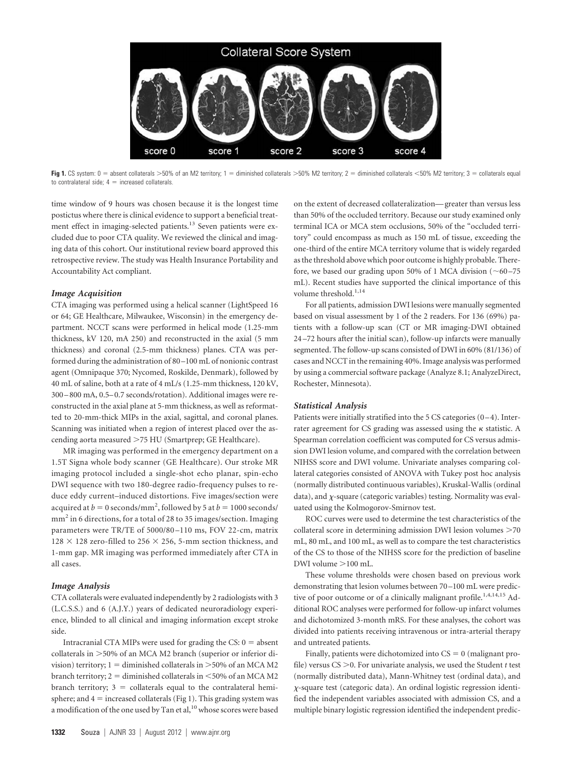

Fig 1. CS system: 0 = absent collaterals >50% of an M2 territory; 1 = diminished collaterals >50% M2 territory; 2 = diminished collaterals <50% M2 territory; 3 = collaterals equal to contralateral side;  $4 =$  increased collaterals.

time window of 9 hours was chosen because it is the longest time postictus where there is clinical evidence to support a beneficial treatment effect in imaging-selected patients.<sup>13</sup> Seven patients were excluded due to poor CTA quality. We reviewed the clinical and imaging data of this cohort. Our institutional review board approved this retrospective review. The study was Health Insurance Portability and Accountability Act compliant.

## *Image Acquisition*

CTA imaging was performed using a helical scanner (LightSpeed 16 or 64; GE Healthcare, Milwaukee, Wisconsin) in the emergency department. NCCT scans were performed in helical mode (1.25-mm thickness, kV 120, mA 250) and reconstructed in the axial (5 mm thickness) and coronal (2.5-mm thickness) planes. CTA was performed during the administration of 80 –100 mL of nonionic contrast agent (Omnipaque 370; Nycomed, Roskilde, Denmark), followed by 40 mL of saline, both at a rate of 4 mL/s (1.25-mm thickness, 120 kV, 300 – 800 mA, 0.5– 0.7 seconds/rotation). Additional images were reconstructed in the axial plane at 5-mm thickness, as well as reformatted to 20-mm-thick MIPs in the axial, sagittal, and coronal planes. Scanning was initiated when a region of interest placed over the ascending aorta measured >75 HU (Smartprep; GE Healthcare).

MR imaging was performed in the emergency department on a 1.5T Signa whole body scanner (GE Healthcare). Our stroke MR imaging protocol included a single-shot echo planar, spin-echo DWI sequence with two 180-degree radio-frequency pulses to reduce eddy current–induced distortions. Five images/section were acquired at  $b = 0$  seconds/mm<sup>2</sup>, followed by 5 at  $b = 1000$  seconds/ mm<sup>2</sup> in 6 directions, for a total of 28 to 35 images/section. Imaging parameters were TR/TE of 5000/80 –110 ms, FOV 22-cm, matrix  $128 \times 128$  zero-filled to 256  $\times$  256, 5-mm section thickness, and 1-mm gap. MR imaging was performed immediately after CTA in all cases.

#### *Image Analysis*

CTA collaterals were evaluated independently by 2 radiologists with 3 (L.C.S.S.) and 6 (A.J.Y.) years of dedicated neuroradiology experience, blinded to all clinical and imaging information except stroke side.

Intracranial CTA MIPs were used for grading the  $CS: 0 =$  absent collaterals in 50% of an MCA M2 branch (superior or inferior division) territory;  $1 =$  diminished collaterals in  $>$  50% of an MCA M2 branch territory; 2  $=$  diminished collaterals in  $<$  50% of an MCA M2  $branch$  territory;  $3 = collateral$  equal to the contralateral hemisphere; and  $4 =$  increased collaterals (Fig 1). This grading system was a modification of the one used by Tan et al,  $10$  whose scores were based on the extent of decreased collateralization— greater than versus less than 50% of the occluded territory. Because our study examined only terminal ICA or MCA stem occlusions, 50% of the "occluded territory" could encompass as much as 150 mL of tissue, exceeding the one-third of the entire MCA territory volume that is widely regarded as the threshold above which poor outcome is highly probable. Therefore, we based our grading upon 50% of 1 MCA division  $(\sim 60 - 75)$ mL). Recent studies have supported the clinical importance of this volume threshold. $^{1,14}$ 

For all patients, admission DWI lesions were manually segmented based on visual assessment by 1 of the 2 readers. For 136 (69%) patients with a follow-up scan (CT or MR imaging-DWI obtained 24 –72 hours after the initial scan), follow-up infarcts were manually segmented. The follow-up scans consisted of DWI in 60% (81/136) of cases and NCCT in the remaining 40%. Image analysis was performed by using a commercial software package (Analyze 8.1; AnalyzeDirect, Rochester, Minnesota).

## *Statistical Analysis*

Patients were initially stratified into the 5 CS categories  $(0-4)$ . Interrater agreement for CS grading was assessed using the  $\kappa$  statistic. A Spearman correlation coefficient was computed for CS versus admission DWI lesion volume, and compared with the correlation between NIHSS score and DWI volume. Univariate analyses comparing collateral categories consisted of ANOVA with Tukey post hoc analysis (normally distributed continuous variables), Kruskal-Wallis (ordinal data), and  $\chi$ -square (categoric variables) testing. Normality was evaluated using the Kolmogorov-Smirnov test.

ROC curves were used to determine the test characteristics of the collateral score in determining admission DWI lesion volumes  $>70$ mL, 80 mL, and 100 mL, as well as to compare the test characteristics of the CS to those of the NIHSS score for the prediction of baseline DWI volume  $>$  100 mL.

These volume thresholds were chosen based on previous work demonstrating that lesion volumes between 70 –100 mL were predictive of poor outcome or of a clinically malignant profile.<sup>1,4,14,15</sup> Additional ROC analyses were performed for follow-up infarct volumes and dichotomized 3-month mRS. For these analyses, the cohort was divided into patients receiving intravenous or intra-arterial therapy and untreated patients.

Finally, patients were dichotomized into  $CS = 0$  (malignant profile) versus  $CS > 0$ . For univariate analysis, we used the Student *t* test (normally distributed data), Mann-Whitney test (ordinal data), and -square test (categoric data). An ordinal logistic regression identified the independent variables associated with admission CS, and a multiple binary logistic regression identified the independent predic-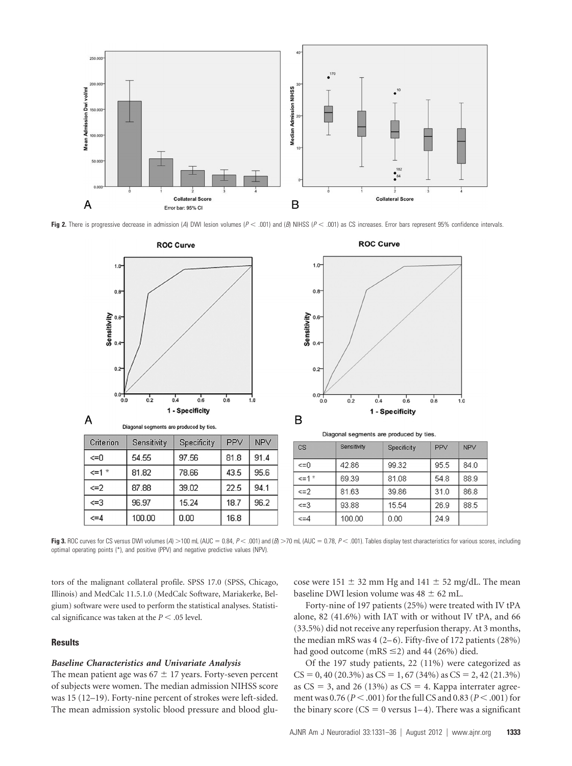

Fig 2. There is progressive decrease in admission (*A*) DWI lesion volumes ( $P < .001$ ) and (*B*) NIHSS ( $P < .001$ ) as CS increases. Error bars represent 95% confidence intervals.



**Fig 3.** ROC curves for CS versus DWI volumes (*A*) >100 mL (AUC = 0.84, *P* < .001) and (*B*) >70 mL (AUC = 0.78, *P* < .001). Tables display test characteristics for various scores, including optimal operating points (\*), and positive (PPV) and negative predictive values (NPV).

tors of the malignant collateral profile. SPSS 17.0 (SPSS, Chicago, Illinois) and MedCalc 11.5.1.0 (MedCalc Software, Mariakerke, Belgium) software were used to perform the statistical analyses. Statistical significance was taken at the  $P < .05$  level.

## **Results**

## *Baseline Characteristics and Univariate Analysis*

The mean patient age was  $67 \pm 17$  years. Forty-seven percent of subjects were women. The median admission NIHSS score was 15 (12–19). Forty-nine percent of strokes were left-sided. The mean admission systolic blood pressure and blood glucose were 151  $\pm$  32 mm Hg and 141  $\pm$  52 mg/dL. The mean baseline DWI lesion volume was  $48 \pm 62$  mL.

Forty-nine of 197 patients (25%) were treated with IV tPA alone, 82 (41.6%) with IAT with or without IV tPA, and 66 (33.5%) did not receive any reperfusion therapy. At 3 months, the median mRS was  $4(2-6)$ . Fifty-five of 172 patients  $(28%)$ had good outcome (mRS  $\leq$ 2) and 44 (26%) died.

Of the 197 study patients, 22 (11%) were categorized as  $CS = 0$ , 40 (20.3%) as  $CS = 1$ , 67 (34%) as  $CS = 2$ , 42 (21.3%) as  $CS = 3$ , and 26 (13%) as  $CS = 4$ . Kappa interrater agreement was 0.76 ( $P < .001$ ) for the full CS and 0.83 ( $P < .001$ ) for the binary score ( $CS = 0$  versus  $1-4$ ). There was a significant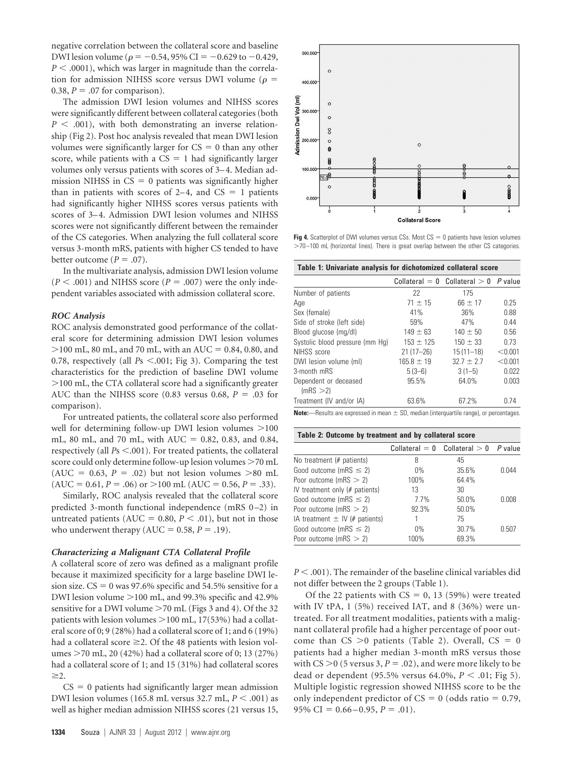negative correlation between the collateral score and baseline DWI lesion volume ( $\rho = -0.54$ , 95% CI = -0.629 to -0.429,  $P < .0001$ ), which was larger in magnitude than the correlation for admission NIHSS score versus DWI volume ( $\rho =$ 0.38,  $P = 0.07$  for comparison).

The admission DWI lesion volumes and NIHSS scores were significantly different between collateral categories (both  $P < .001$ ), with both demonstrating an inverse relationship (Fig 2). Post hoc analysis revealed that mean DWI lesion volumes were significantly larger for  $CS = 0$  than any other score, while patients with a  $CS = 1$  had significantly larger volumes only versus patients with scores of 3–4. Median admission NIHSS in  $CS = 0$  patients was significantly higher than in patients with scores of  $2-4$ , and  $CS = 1$  patients had significantly higher NIHSS scores versus patients with scores of 3–4. Admission DWI lesion volumes and NIHSS scores were not significantly different between the remainder of the CS categories. When analyzing the full collateral score versus 3-month mRS, patients with higher CS tended to have better outcome  $(P = .07)$ .

In the multivariate analysis, admission DWI lesion volume  $(P \leq .001)$  and NIHSS score  $(P = .007)$  were the only independent variables associated with admission collateral score.

## *ROC Analysis*

ROC analysis demonstrated good performance of the collateral score for determining admission DWI lesion volumes  $>$  100 mL, 80 mL, and 70 mL, with an AUC = 0.84, 0.80, and 0.78, respectively (all  $Ps$  <.001; Fig 3). Comparing the test characteristics for the prediction of baseline DWI volume 100 mL, the CTA collateral score had a significantly greater AUC than the NIHSS score  $(0.83 \text{ versus } 0.68, P = .03 \text{ for }$ comparison).

For untreated patients, the collateral score also performed well for determining follow-up DWI lesion volumes  $>100$ mL, 80 mL, and 70 mL, with  $AUC = 0.82$ , 0.83, and 0.84, respectively (all  $Ps < .001$ ). For treated patients, the collateral score could only determine follow-up lesion volumes  $>70$  mL  $(AUC = 0.63, P = .02)$  but not lesion volumes >80 mL  $(AUC = 0.61, P = .06)$  or  $>100$  mL (AUC = 0.56, P = .33).

Similarly, ROC analysis revealed that the collateral score predicted 3-month functional independence (mRS 0-2) in untreated patients ( $AUC = 0.80$ ,  $P < .01$ ), but not in those who underwent therapy  $(AUC = 0.58, P = .19)$ .

#### *Characterizing a Malignant CTA Collateral Profile*

A collateral score of zero was defined as a malignant profile because it maximized specificity for a large baseline DWI lesion size.  $CS = 0$  was 97.6% specific and 54.5% sensitive for a DWI lesion volume  $>$ 100 mL, and 99.3% specific and 42.9% sensitive for a DWI volume >70 mL (Figs 3 and 4). Of the 32 patients with lesion volumes  $>$ 100 mL, 17(53%) had a collateral score of 0; 9 (28%) had a collateral score of 1; and 6 (19%) had a collateral score  $\geq$  2. Of the 48 patients with lesion volumes 70 mL, 20 (42%) had a collateral score of 0; 13 (27%) had a collateral score of 1; and 15 (31%) had collateral scores  $>2$ .

 $CS = 0$  patients had significantly larger mean admission DWI lesion volumes (165.8 mL versus 32.7 mL,  $P < .001$ ) as well as higher median admission NIHSS scores (21 versus 15,



**Fig 4.** Scatterplot of DWI volumes versus CSs. Most  $CS = 0$  patients have lesion volumes 70 –100 mL (horizontal lines). There is great overlap between the other CS categories.

| Table 1: Univariate analysis for dichotomized collateral score |                |                                           |         |  |
|----------------------------------------------------------------|----------------|-------------------------------------------|---------|--|
|                                                                |                | Collateral $= 0$ Collateral $> 0$ P value |         |  |
| Number of patients                                             | 22             | 175                                       |         |  |
| Age                                                            | $71 \pm 15$    | $66 \pm 17$                               | 0.25    |  |
| Sex (female)                                                   | 41%            | 36%                                       | 0.88    |  |
| Side of stroke (left side)                                     | 59%            | 47%                                       | 0.44    |  |
| Blood glucose (mg/dl)                                          | $149 \pm 63$   | $140 \pm 50$                              | 0.56    |  |
| Systolic blood pressure (mm Hq)                                | $153 \pm 125$  | $150 \pm 33$                              | 0.73    |  |
| NIHSS score                                                    | $21(17 - 26)$  | $15(11-18)$                               | < 0.001 |  |
| DWI lesion volume (ml)                                         | $165.8 \pm 19$ | $32.7 \pm 2.7$                            | < 0.001 |  |
| 3-month mRS                                                    | $5(3-6)$       | $3(1-5)$                                  | 0.022   |  |
| Dependent or deceased                                          | 95.5%          | 64.0%                                     | 0.003   |  |
| (mRS >2)                                                       |                |                                           |         |  |
| Treatment (IV and/or IA)                                       | 63.6%          | 67.2%                                     | 0.74    |  |
|                                                                |                |                                           |         |  |

-Results are expressed in mean  $\pm$  SD, median (interquartile range), or percentages.

| Table 2: Outcome by treatment and by collateral score |       |                                   |         |  |
|-------------------------------------------------------|-------|-----------------------------------|---------|--|
|                                                       |       | Collateral $= 0$ Collateral $> 0$ | P value |  |
| No treatment (# patients)                             | 8     | 45                                |         |  |
| Good outcome (mRS $\leq$ 2)                           | $0\%$ | 35.6%                             | 0.044   |  |
| Poor outcome (mRS $> 2$ )                             | 100%  | 64.4%                             |         |  |
| IV treatment only (# patients)                        | 13    | 30                                |         |  |
| Good outcome (mRS $\leq$ 2)                           | 7.7%  | 50.0%                             | 0.008   |  |
| Poor outcome (mRS $> 2$ )                             | 92.3% | 50.0%                             |         |  |
| IA treatment $\pm$ IV (# patients)                    |       | 75                                |         |  |
| Good outcome (mRS $\leq$ 2)                           | $0\%$ | 30.7%                             | 0.507   |  |
| Poor outcome (mRS $> 2$ )                             | 100%  | 69.3%                             |         |  |

*P* < .001). The remainder of the baseline clinical variables did not differ between the 2 groups (Table 1).

Of the 22 patients with  $CS = 0$ , 13 (59%) were treated with IV tPA, 1 (5%) received IAT, and 8 (36%) were untreated. For all treatment modalities, patients with a malignant collateral profile had a higher percentage of poor outcome than  $CS > 0$  patients (Table 2). Overall,  $CS = 0$ patients had a higher median 3-month mRS versus those with  $CS > 0$  (5 versus 3,  $P = .02$ ), and were more likely to be dead or dependent (95.5% versus 64.0%,  $P < .01$ ; Fig 5). Multiple logistic regression showed NIHSS score to be the only independent predictor of  $CS = 0$  (odds ratio = 0.79,  $95\% \text{ CI} = 0.66 - 0.95, P = .01$ .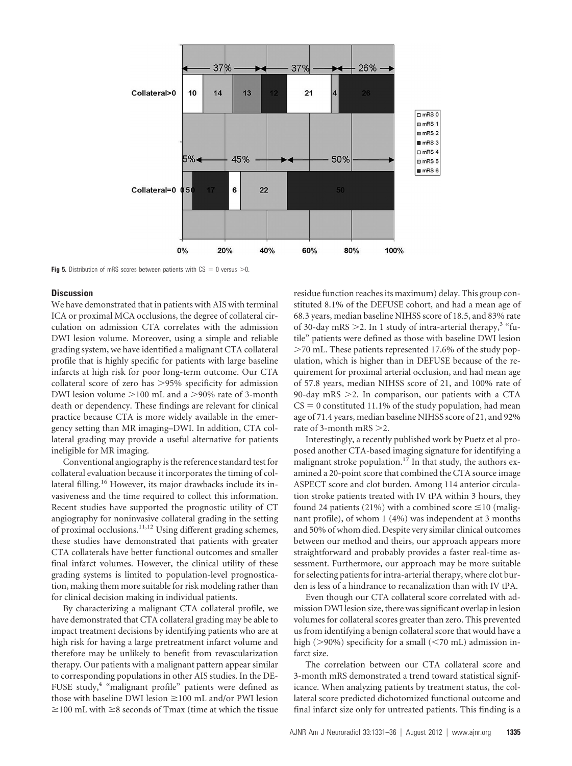

**Fig 5.** Distribution of mRS scores between patients with  $CS = 0$  versus  $> 0$ .

## **Discussion**

We have demonstrated that in patients with AIS with terminal ICA or proximal MCA occlusions, the degree of collateral circulation on admission CTA correlates with the admission DWI lesion volume. Moreover, using a simple and reliable grading system, we have identified a malignant CTA collateral profile that is highly specific for patients with large baseline infarcts at high risk for poor long-term outcome. Our CTA collateral score of zero has >95% specificity for admission DWI lesion volume  $>100$  mL and a  $>90\%$  rate of 3-month death or dependency. These findings are relevant for clinical practice because CTA is more widely available in the emergency setting than MR imaging–DWI. In addition, CTA collateral grading may provide a useful alternative for patients ineligible for MR imaging.

Conventional angiography is the reference standard test for collateral evaluation because it incorporates the timing of collateral filling.<sup>16</sup> However, its major drawbacks include its invasiveness and the time required to collect this information. Recent studies have supported the prognostic utility of CT angiography for noninvasive collateral grading in the setting of proximal occlusions.<sup>11,12</sup> Using different grading schemes, these studies have demonstrated that patients with greater CTA collaterals have better functional outcomes and smaller final infarct volumes. However, the clinical utility of these grading systems is limited to population-level prognostication, making them more suitable for risk modeling rather than for clinical decision making in individual patients.

By characterizing a malignant CTA collateral profile, we have demonstrated that CTA collateral grading may be able to impact treatment decisions by identifying patients who are at high risk for having a large pretreatment infarct volume and therefore may be unlikely to benefit from revascularization therapy. Our patients with a malignant pattern appear similar to corresponding populations in other AIS studies. In the DE-FUSE study,<sup>4</sup> "malignant profile" patients were defined as those with baseline DWI lesion  $\geq 100$  mL and/or PWI lesion  $\geq$ 100 mL with  $\geq$ 8 seconds of Tmax (time at which the tissue residue function reaches its maximum) delay. This group constituted 8.1% of the DEFUSE cohort, and had a mean age of 68.3 years, median baseline NIHSS score of 18.5, and 83% rate of 30-day mRS  $>$ 2. In 1 study of intra-arterial therapy,<sup>3</sup> "futile" patients were defined as those with baseline DWI lesion  $>$ 70 mL. These patients represented 17.6% of the study population, which is higher than in DEFUSE because of the requirement for proximal arterial occlusion, and had mean age of 57.8 years, median NIHSS score of 21, and 100% rate of 90-day mRS  $\geq$ 2. In comparison, our patients with a CTA  $CS = 0$  constituted 11.1% of the study population, had mean age of 71.4 years, median baseline NIHSS score of 21, and 92% rate of 3-month mRS  $>2$ .

Interestingly, a recently published work by Puetz et al proposed another CTA-based imaging signature for identifying a malignant stroke population.<sup>17</sup> In that study, the authors examined a 20-point score that combined the CTA source image ASPECT score and clot burden. Among 114 anterior circulation stroke patients treated with IV tPA within 3 hours, they found 24 patients (21%) with a combined score  $\leq$ 10 (malignant profile), of whom 1 (4%) was independent at 3 months and 50% of whom died. Despite very similar clinical outcomes between our method and theirs, our approach appears more straightforward and probably provides a faster real-time assessment. Furthermore, our approach may be more suitable for selecting patients for intra-arterial therapy, where clot burden is less of a hindrance to recanalization than with IV tPA.

Even though our CTA collateral score correlated with admission DWI lesion size, there was significant overlap in lesion volumes for collateral scores greater than zero. This prevented us from identifying a benign collateral score that would have a high ( $>90\%$ ) specificity for a small ( $<$ 70 mL) admission infarct size.

The correlation between our CTA collateral score and 3-month mRS demonstrated a trend toward statistical significance. When analyzing patients by treatment status, the collateral score predicted dichotomized functional outcome and final infarct size only for untreated patients. This finding is a